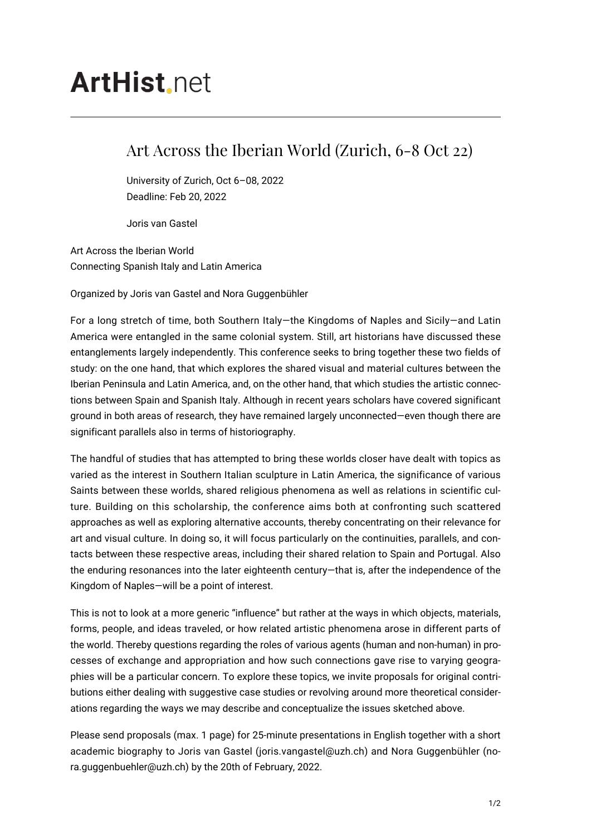## **ArtHist**, net

## Art Across the Iberian World (Zurich, 6-8 Oct 22)

University of Zurich, Oct 6–08, 2022 Deadline: Feb 20, 2022

Joris van Gastel

Art Across the Iberian World Connecting Spanish Italy and Latin America

Organized by Joris van Gastel and Nora Guggenbühler

For a long stretch of time, both Southern Italy—the Kingdoms of Naples and Sicily—and Latin America were entangled in the same colonial system. Still, art historians have discussed these entanglements largely independently. This conference seeks to bring together these two fields of study: on the one hand, that which explores the shared visual and material cultures between the Iberian Peninsula and Latin America, and, on the other hand, that which studies the artistic connections between Spain and Spanish Italy. Although in recent years scholars have covered significant ground in both areas of research, they have remained largely unconnected—even though there are significant parallels also in terms of historiography.

The handful of studies that has attempted to bring these worlds closer have dealt with topics as varied as the interest in Southern Italian sculpture in Latin America, the significance of various Saints between these worlds, shared religious phenomena as well as relations in scientific culture. Building on this scholarship, the conference aims both at confronting such scattered approaches as well as exploring alternative accounts, thereby concentrating on their relevance for art and visual culture. In doing so, it will focus particularly on the continuities, parallels, and contacts between these respective areas, including their shared relation to Spain and Portugal. Also the enduring resonances into the later eighteenth century—that is, after the independence of the Kingdom of Naples—will be a point of interest.

This is not to look at a more generic "influence" but rather at the ways in which objects, materials, forms, people, and ideas traveled, or how related artistic phenomena arose in different parts of the world. Thereby questions regarding the roles of various agents (human and non-human) in processes of exchange and appropriation and how such connections gave rise to varying geographies will be a particular concern. To explore these topics, we invite proposals for original contributions either dealing with suggestive case studies or revolving around more theoretical considerations regarding the ways we may describe and conceptualize the issues sketched above.

Please send proposals (max. 1 page) for 25-minute presentations in English together with a short academic biography to Joris van Gastel (joris.vangastel@uzh.ch) and Nora Guggenbühler (nora.guggenbuehler@uzh.ch) by the 20th of February, 2022.